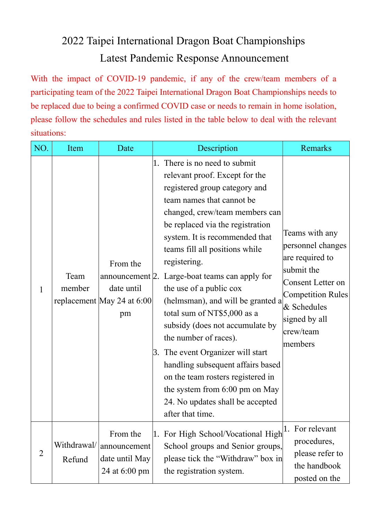## 2022 Taipei International Dragon Boat Championships Latest Pandemic Response Announcement

With the impact of COVID-19 pandemic, if any of the crew/team members of a participating team of the 2022 Taipei International Dragon Boat Championships needs to be replaced due to being a confirmed COVID case or needs to remain in home isolation, please follow the schedules and rules listed in the table below to deal with the relevant situations:

| NO.            | Item                  | Date                                                                          | Description                                                                                                                                                                                                                                                                                                                                                                                                                                                                                                                                                                                                                                                                                   | Remarks                                                                                                                                                                       |
|----------------|-----------------------|-------------------------------------------------------------------------------|-----------------------------------------------------------------------------------------------------------------------------------------------------------------------------------------------------------------------------------------------------------------------------------------------------------------------------------------------------------------------------------------------------------------------------------------------------------------------------------------------------------------------------------------------------------------------------------------------------------------------------------------------------------------------------------------------|-------------------------------------------------------------------------------------------------------------------------------------------------------------------------------|
| $\mathbf{1}$   | Team<br>member        | From the<br>announcement 2.<br>date until<br>replacement May 24 at 6:00<br>pm | 1. There is no need to submit<br>relevant proof. Except for the<br>registered group category and<br>team names that cannot be<br>changed, crew/team members can<br>be replaced via the registration<br>system. It is recommended that<br>teams fill all positions while<br>registering.<br>Large-boat teams can apply for<br>the use of a public cox<br>(helmsman), and will be granted a<br>total sum of NT\$5,000 as a<br>subsidy (does not accumulate by<br>the number of races).<br>3. The event Organizer will start<br>handling subsequent affairs based<br>on the team rosters registered in<br>the system from 6:00 pm on May<br>24. No updates shall be accepted<br>after that time. | Teams with any<br>personnel changes<br>are required to<br>submit the<br>Consent Letter on<br><b>Competition Rules</b><br>& Schedules<br>signed by all<br>crew/team<br>members |
| $\overline{2}$ | Withdrawal/<br>Refund | From the<br>announcement<br>date until May<br>24 at 6:00 pm                   | 1. For High School/Vocational High<br>School groups and Senior groups,<br>please tick the "Withdraw" box in<br>the registration system.                                                                                                                                                                                                                                                                                                                                                                                                                                                                                                                                                       | 1. For relevant<br>procedures,<br>please refer to<br>the handbook<br>posted on the                                                                                            |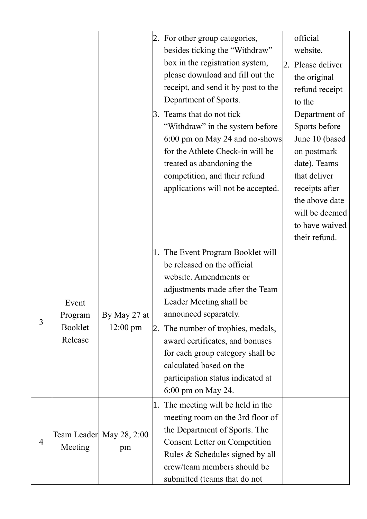|   |                                        | 3.                              | 2. For other group categories,<br>besides ticking the "Withdraw"<br>box in the registration system,<br>please download and fill out the<br>receipt, and send it by post to the<br>Department of Sports.<br>Teams that do not tick<br>"Withdraw" in the system before<br>6:00 pm on May 24 and no-shows<br>for the Athlete Check-in will be<br>treated as abandoning the<br>competition, and their refund<br>applications will not be accepted. | official<br>website.<br>2. Please deliver<br>the original<br>refund receipt<br>to the<br>Department of<br>Sports before<br>June 10 (based<br>on postmark<br>date). Teams<br>that deliver<br>receipts after<br>the above date<br>will be deemed<br>to have waived<br>their refund. |
|---|----------------------------------------|---------------------------------|------------------------------------------------------------------------------------------------------------------------------------------------------------------------------------------------------------------------------------------------------------------------------------------------------------------------------------------------------------------------------------------------------------------------------------------------|-----------------------------------------------------------------------------------------------------------------------------------------------------------------------------------------------------------------------------------------------------------------------------------|
| 3 | Event<br>Program<br>Booklet<br>Release | By May 27 at<br>12:00 pm<br>2.  | 1. The Event Program Booklet will<br>be released on the official<br>website. Amendments or<br>adjustments made after the Team<br>Leader Meeting shall be<br>announced separately.<br>The number of trophies, medals,<br>award certificates, and bonuses<br>for each group category shall be<br>calculated based on the<br>participation status indicated at<br>6:00 pm on May 24.                                                              |                                                                                                                                                                                                                                                                                   |
| 4 | Meeting                                | Team Leader  May 28, 2:00<br>pm | 1. The meeting will be held in the<br>meeting room on the 3rd floor of<br>the Department of Sports. The<br><b>Consent Letter on Competition</b><br>Rules & Schedules signed by all<br>crew/team members should be<br>submitted (teams that do not                                                                                                                                                                                              |                                                                                                                                                                                                                                                                                   |